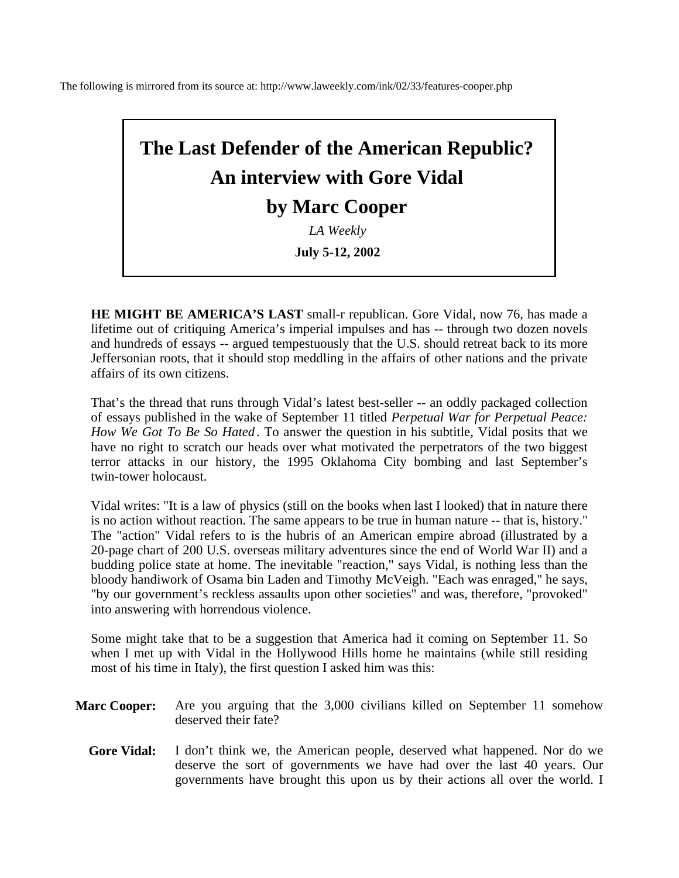The following is mirrored from its source at: http://www.laweekly.com/ink/02/33/features-cooper.php

## **The Last Defender of the American Republic? An interview with Gore Vidal by Marc Cooper**

*LA Weekly*  **July 5-12, 2002** 

**HE MIGHT BE AMERICA'S LAST** small-r republican. Gore Vidal, now 76, has made a lifetime out of critiquing America's imperial impulses and has -- through two dozen novels and hundreds of essays -- argued tempestuously that the U.S. should retreat back to its more Jeffersonian roots, that it should stop meddling in the affairs of other nations and the private affairs of its own citizens.

That's the thread that runs through Vidal's latest best-seller -- an oddly packaged collection of essays published in the wake of September 11 titled *Perpetual War for Perpetual Peace: How We Got To Be So Hated*. To answer the question in his subtitle, Vidal posits that we have no right to scratch our heads over what motivated the perpetrators of the two biggest terror attacks in our history, the 1995 Oklahoma City bombing and last September's twin-tower holocaust.

Vidal writes: "It is a law of physics (still on the books when last I looked) that in nature there is no action without reaction. The same appears to be true in human nature -- that is, history." The "action" Vidal refers to is the hubris of an American empire abroad (illustrated by a 20-page chart of 200 U.S. overseas military adventures since the end of World War II) and a budding police state at home. The inevitable "reaction," says Vidal, is nothing less than the bloody handiwork of Osama bin Laden and Timothy McVeigh. "Each was enraged," he says, "by our government's reckless assaults upon other societies" and was, therefore, "provoked" into answering with horrendous violence.

Some might take that to be a suggestion that America had it coming on September 11. So when I met up with Vidal in the Hollywood Hills home he maintains (while still residing most of his time in Italy), the first question I asked him was this:

| Marc Cooper: Are you arguing that the 3,000 civilians killed on September 11 somehow |
|--------------------------------------------------------------------------------------|
| deserved their fate?                                                                 |
|                                                                                      |

Gore Vidal: I don't think we, the American people, deserved what happened. Nor do we deserve the sort of governments we have had over the last 40 years. Our governments have brought this upon us by their actions all over the world. I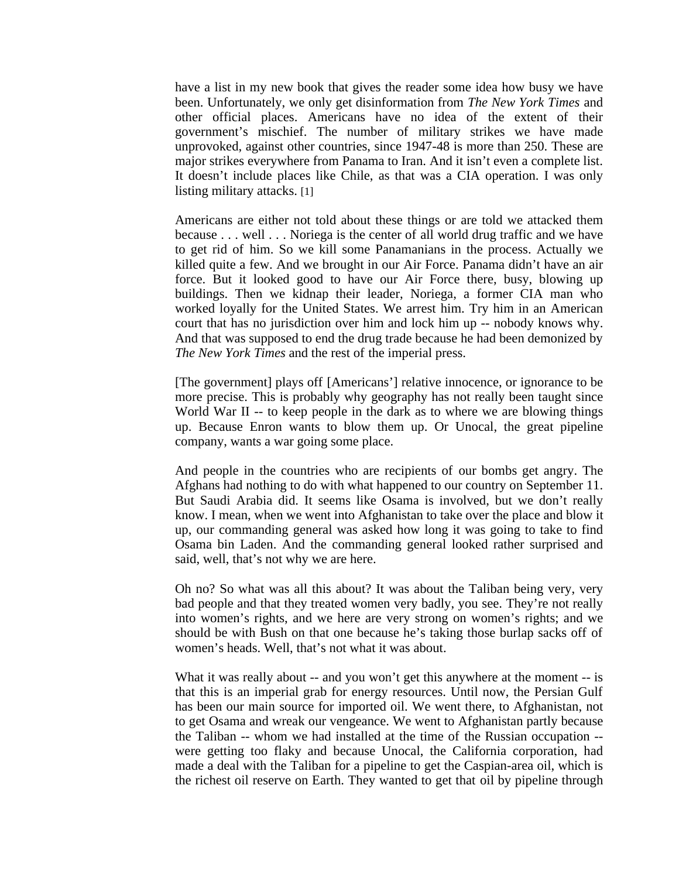have a list in my new book that gives the reader some idea how busy we have been. Unfortunately, we only get disinformation from *The New York Times* and other official places. Americans have no idea of the extent of their government's mischief. The number of military strikes we have made unprovoked, against other countries, since 1947-48 is more than 250. These are major strikes everywhere from Panama to Iran. And it isn't even a complete list. It doesn't include places like Chile, as that was a CIA operation. I was only listing military attacks. [1]

Americans are either not told about these things or are told we attacked them because . . . well . . . Noriega is the center of all world drug traffic and we have to get rid of him. So we kill some Panamanians in the process. Actually we killed quite a few. And we brought in our Air Force. Panama didn't have an air force. But it looked good to have our Air Force there, busy, blowing up buildings. Then we kidnap their leader, Noriega, a former CIA man who worked loyally for the United States. We arrest him. Try him in an American court that has no jurisdiction over him and lock him up -- nobody knows why. And that was supposed to end the drug trade because he had been demonized by *The New York Times* and the rest of the imperial press.

[The government] plays off [Americans'] relative innocence, or ignorance to be more precise. This is probably why geography has not really been taught since World War II -- to keep people in the dark as to where we are blowing things up. Because Enron wants to blow them up. Or Unocal, the great pipeline company, wants a war going some place.

And people in the countries who are recipients of our bombs get angry. The Afghans had nothing to do with what happened to our country on September 11. But Saudi Arabia did. It seems like Osama is involved, but we don't really know. I mean, when we went into Afghanistan to take over the place and blow it up, our commanding general was asked how long it was going to take to find Osama bin Laden. And the commanding general looked rather surprised and said, well, that's not why we are here.

Oh no? So what was all this about? It was about the Taliban being very, very bad people and that they treated women very badly, you see. They're not really into women's rights, and we here are very strong on women's rights; and we should be with Bush on that one because he's taking those burlap sacks off of women's heads. Well, that's not what it was about.

What it was really about -- and you won't get this anywhere at the moment -- is that this is an imperial grab for energy resources. Until now, the Persian Gulf has been our main source for imported oil. We went there, to Afghanistan, not to get Osama and wreak our vengeance. We went to Afghanistan partly because the Taliban -- whom we had installed at the time of the Russian occupation - were getting too flaky and because Unocal, the California corporation, had made a deal with the Taliban for a pipeline to get the Caspian-area oil, which is the richest oil reserve on Earth. They wanted to get that oil by pipeline through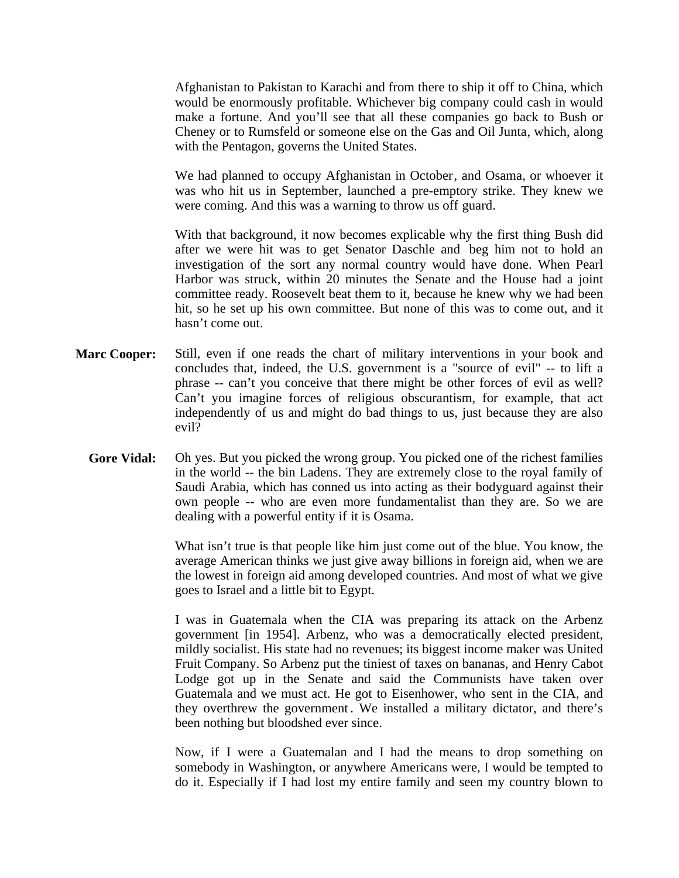Afghanistan to Pakistan to Karachi and from there to ship it off to China, which would be enormously profitable. Whichever big company could cash in would make a fortune. And you'll see that all these companies go back to Bush or Cheney or to Rumsfeld or someone else on the Gas and Oil Junta, which, along with the Pentagon, governs the United States.

We had planned to occupy Afghanistan in October, and Osama, or whoever it was who hit us in September, launched a pre-emptory strike. They knew we were coming. And this was a warning to throw us off guard.

With that background, it now becomes explicable why the first thing Bush did after we were hit was to get Senator Daschle and beg him not to hold an investigation of the sort any normal country would have done. When Pearl Harbor was struck, within 20 minutes the Senate and the House had a joint committee ready. Roosevelt beat them to it, because he knew why we had been hit, so he set up his own committee. But none of this was to come out, and it hasn't come out.

- **Marc Cooper:** Still, even if one reads the chart of military interventions in your book and concludes that, indeed, the U.S. government is a "source of evil" -- to lift a phrase -- can't you conceive that there might be other forces of evil as well? Can't you imagine forces of religious obscurantism, for example, that act independently of us and might do bad things to us, just because they are also evil?
	- Gore Vidal: Oh yes. But you picked the wrong group. You picked one of the richest families in the world -- the bin Ladens. They are extremely close to the royal family of Saudi Arabia, which has conned us into acting as their bodyguard against their own people -- who are even more fundamentalist than they are. So we are dealing with a powerful entity if it is Osama.

What isn't true is that people like him just come out of the blue. You know, the average American thinks we just give away billions in foreign aid, when we are the lowest in foreign aid among developed countries. And most of what we give goes to Israel and a little bit to Egypt.

I was in Guatemala when the CIA was preparing its attack on the Arbenz government [in 1954]. Arbenz, who was a democratically elected president, mildly socialist. His state had no revenues; its biggest income maker was United Fruit Company. So Arbenz put the tiniest of taxes on bananas, and Henry Cabot Lodge got up in the Senate and said the Communists have taken over Guatemala and we must act. He got to Eisenhower, who sent in the CIA, and they overthrew the government . We installed a military dictator, and there's been nothing but bloodshed ever since.

Now, if I were a Guatemalan and I had the means to drop something on somebody in Washington, or anywhere Americans were, I would be tempted to do it. Especially if I had lost my entire family and seen my country blown to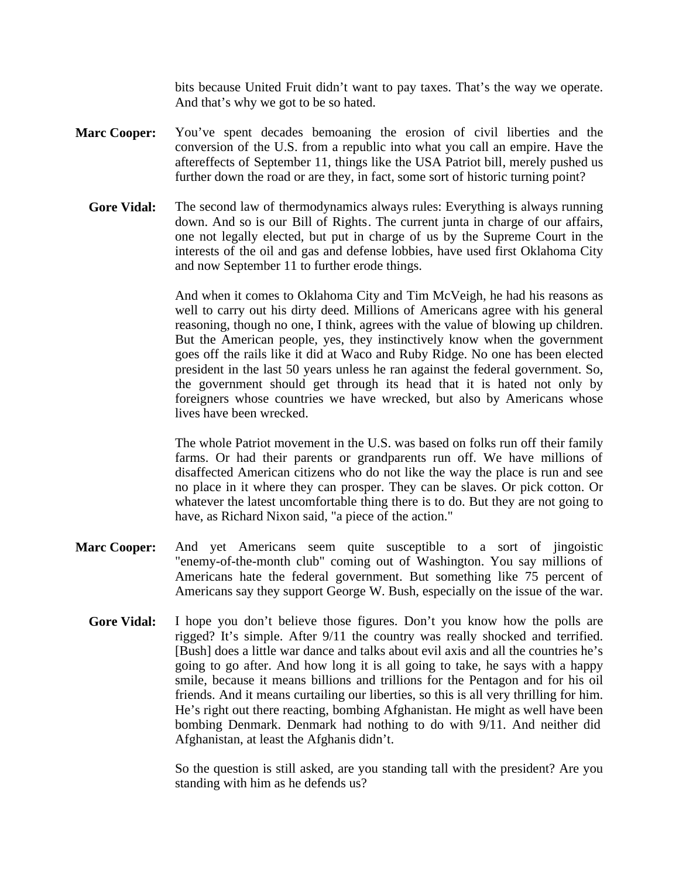bits because United Fruit didn't want to pay taxes. That's the way we operate. And that's why we got to be so hated.

- **Marc Cooper:** You've spent decades bemoaning the erosion of civil liberties and the conversion of the U.S. from a republic into what you call an empire. Have the aftereffects of September 11, things like the USA Patriot bill, merely pushed us further down the road or are they, in fact, some sort of historic turning point?
	- **Gore Vidal:** The second law of thermodynamics always rules: Everything is always running down. And so is our Bill of Rights. The current junta in charge of our affairs, one not legally elected, but put in charge of us by the Supreme Court in the interests of the oil and gas and defense lobbies, have used first Oklahoma City and now September 11 to further erode things.

And when it comes to Oklahoma City and Tim McVeigh, he had his reasons as well to carry out his dirty deed. Millions of Americans agree with his general reasoning, though no one, I think, agrees with the value of blowing up children. But the American people, yes, they instinctively know when the government goes off the rails like it did at Waco and Ruby Ridge. No one has been elected president in the last 50 years unless he ran against the federal government. So, the government should get through its head that it is hated not only by foreigners whose countries we have wrecked, but also by Americans whose lives have been wrecked.

The whole Patriot movement in the U.S. was based on folks run off their family farms. Or had their parents or grandparents run off. We have millions of disaffected American citizens who do not like the way the place is run and see no place in it where they can prosper. They can be slaves. Or pick cotton. Or whatever the latest uncomfortable thing there is to do. But they are not going to have, as Richard Nixon said, "a piece of the action."

- **Marc Cooper:** And yet Americans seem quite susceptible to a sort of jingoistic "enemy-of-the-month club" coming out of Washington. You say millions of Americans hate the federal government. But something like 75 percent of Americans say they support George W. Bush, especially on the issue of the war.
	- Gore Vidal: I hope you don't believe those figures. Don't you know how the polls are rigged? It's simple. After 9/11 the country was really shocked and terrified. [Bush] does a little war dance and talks about evil axis and all the countries he's going to go after. And how long it is all going to take, he says with a happy smile, because it means billions and trillions for the Pentagon and for his oil friends. And it means curtailing our liberties, so this is all very thrilling for him. He's right out there reacting, bombing Afghanistan. He might as well have been bombing Denmark. Denmark had nothing to do with 9/11. And neither did Afghanistan, at least the Afghanis didn't.

So the question is still asked, are you standing tall with the president? Are you standing with him as he defends us?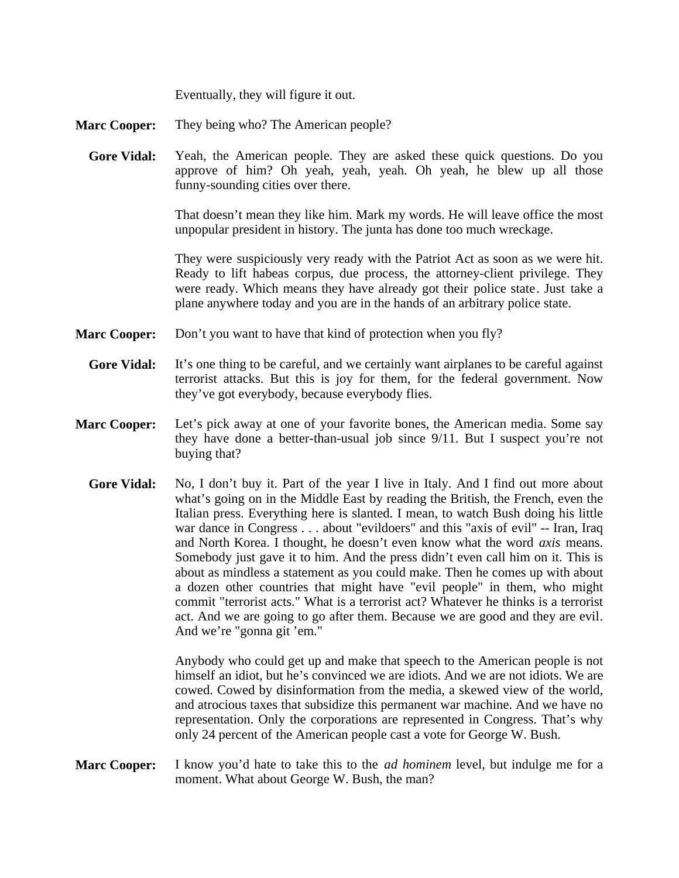Eventually, they will figure it out.

- **Marc Cooper:** They being who? The American people?
	- **Gore Vidal:** Yeah, the American people. They are asked these quick questions. Do you approve of him? Oh yeah, yeah, yeah. Oh yeah, he blew up all those funny-sounding cities over there.

That doesn't mean they like him. Mark my words. He will leave office the most unpopular president in history. The junta has done too much wreckage.

They were suspiciously very ready with the Patriot Act as soon as we were hit. Ready to lift habeas corpus, due process, the attorney-client privilege. They were ready. Which means they have already got their police state. Just take a plane anywhere today and you are in the hands of an arbitrary police state.

- **Marc Cooper:** Don't you want to have that kind of protection when you fly?
	- Gore Vidal: It's one thing to be careful, and we certainly want airplanes to be careful against terrorist attacks. But this is joy for them, for the federal government. Now they've got everybody, because everybody flies.
- **Marc Cooper:** Let's pick away at one of your favorite bones, the American media. Some say they have done a better-than-usual job since 9/11. But I suspect you're not buying that?
	- **Gore Vidal:** No, I don't buy it. Part of the year I live in Italy. And I find out more about what's going on in the Middle East by reading the British, the French, even the Italian press. Everything here is slanted. I mean, to watch Bush doing his little war dance in Congress . . . about "evildoers" and this "axis of evil" -- Iran, Iraq and North Korea. I thought, he doesn't even know what the word *axis* means. Somebody just gave it to him. And the press didn't even call him on it. This is about as mindless a statement as you could make. Then he comes up with about a dozen other countries that might have "evil people" in them, who might commit "terrorist acts." What is a terrorist act? Whatever he thinks is a terrorist act. And we are going to go after them. Because we are good and they are evil. And we're "gonna git 'em."

Anybody who could get up and make that speech to the American people is not himself an idiot, but he's convinced we are idiots. And we are not idiots. We are cowed. Cowed by disinformation from the media, a skewed view of the world, and atrocious taxes that subsidize this permanent war machine. And we have no representation. Only the corporations are represented in Congress. That's why only 24 percent of the American people cast a vote for George W. Bush.

**Marc Cooper:** I know you'd hate to take this to the *ad hominem* level, but indulge me for a moment. What about George W. Bush, the man?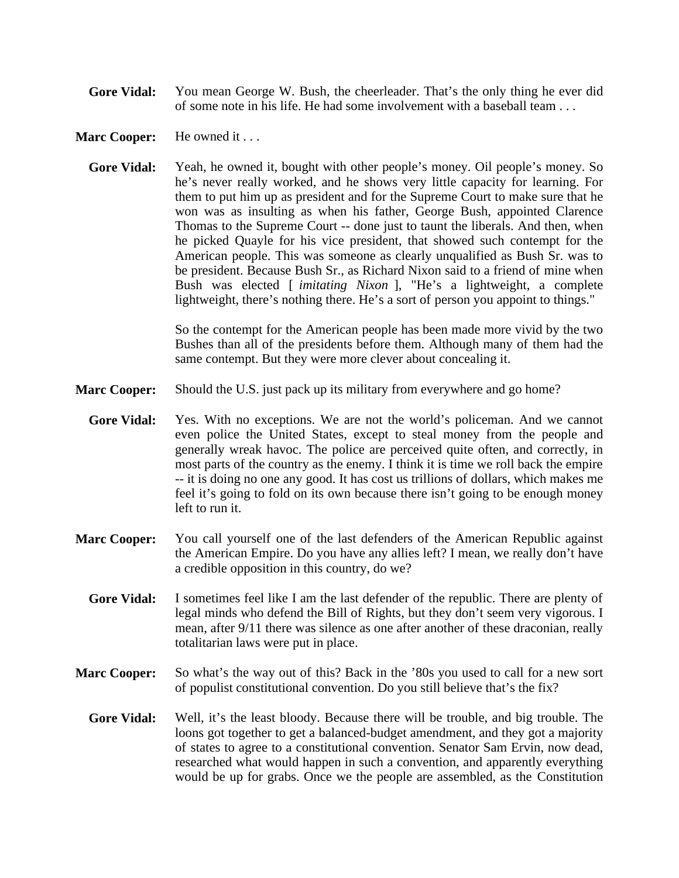- Gore Vidal: You mean George W. Bush, the cheerleader. That's the only thing he ever did of some note in his life. He had some involvement with a baseball team . . .
- Marc Cooper: He owned it . . .
	- Gore Vidal: Yeah, he owned it, bought with other people's money. Oil people's money. So he's never really worked, and he shows very little capacity for learning. For them to put him up as president and for the Supreme Court to make sure that he won was as insulting as when his father, George Bush, appointed Clarence Thomas to the Supreme Court -- done just to taunt the liberals. And then, when he picked Quayle for his vice president, that showed such contempt for the American people. This was someone as clearly unqualified as Bush Sr. was to be president. Because Bush Sr., as Richard Nixon said to a friend of mine when Bush was elected [ *imitating Nixon* ], "He's a lightweight, a complete lightweight, there's nothing there. He's a sort of person you appoint to things."

So the contempt for the American people has been made more vivid by the two Bushes than all of the presidents before them. Although many of them had the same contempt. But they were more clever about concealing it.

- **Marc Cooper:** Should the U.S. just pack up its military from everywhere and go home?
	- Gore Vidal: Yes. With no exceptions. We are not the world's policeman. And we cannot even police the United States, except to steal money from the people and generally wreak havoc. The police are perceived quite often, and correctly, in most parts of the country as the enemy. I think it is time we roll back the empire -- it is doing no one any good. It has cost us trillions of dollars, which makes me feel it's going to fold on its own because there isn't going to be enough money left to run it.
- **Marc Cooper:** You call yourself one of the last defenders of the American Republic against the American Empire. Do you have any allies left? I mean, we really don't have a credible opposition in this country, do we?
	- **Gore Vidal:** I sometimes feel like I am the last defender of the republic. There are plenty of legal minds who defend the Bill of Rights, but they don't seem very vigorous. I mean, after 9/11 there was silence as one after another of these draconian, really totalitarian laws were put in place.
- **Marc Cooper:** So what's the way out of this? Back in the '80s you used to call for a new sort of populist constitutional convention. Do you still believe that's the fix?
	- **Gore Vidal:** Well, it's the least bloody. Because there will be trouble, and big trouble. The loons got together to get a balanced-budget amendment, and they got a majority of states to agree to a constitutional convention. Senator Sam Ervin, now dead, researched what would happen in such a convention, and apparently everything would be up for grabs. Once we the people are assembled, as the Constitution